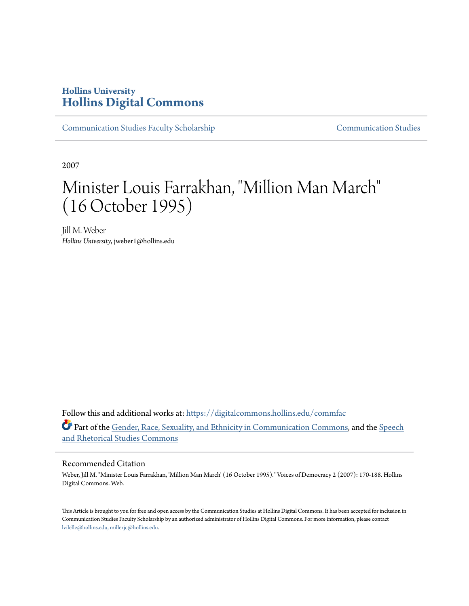## **Hollins University [Hollins Digital Commons](https://digitalcommons.hollins.edu?utm_source=digitalcommons.hollins.edu%2Fcommfac%2F2&utm_medium=PDF&utm_campaign=PDFCoverPages)**

[Communication Studies Faculty Scholarship](https://digitalcommons.hollins.edu/commfac?utm_source=digitalcommons.hollins.edu%2Fcommfac%2F2&utm_medium=PDF&utm_campaign=PDFCoverPages) [Communication Studies](https://digitalcommons.hollins.edu/comm?utm_source=digitalcommons.hollins.edu%2Fcommfac%2F2&utm_medium=PDF&utm_campaign=PDFCoverPages)

2007

# Minister Louis Farrakhan, "Million Man March" (16 October 1995)

Jill M. Weber *Hollins University*, jweber1@hollins.edu

Follow this and additional works at: [https://digitalcommons.hollins.edu/commfac](https://digitalcommons.hollins.edu/commfac?utm_source=digitalcommons.hollins.edu%2Fcommfac%2F2&utm_medium=PDF&utm_campaign=PDFCoverPages) Part of the [Gender, Race, Sexuality, and Ethnicity in Communication Commons](http://network.bepress.com/hgg/discipline/329?utm_source=digitalcommons.hollins.edu%2Fcommfac%2F2&utm_medium=PDF&utm_campaign=PDFCoverPages), and the [Speech](http://network.bepress.com/hgg/discipline/338?utm_source=digitalcommons.hollins.edu%2Fcommfac%2F2&utm_medium=PDF&utm_campaign=PDFCoverPages) [and Rhetorical Studies Commons](http://network.bepress.com/hgg/discipline/338?utm_source=digitalcommons.hollins.edu%2Fcommfac%2F2&utm_medium=PDF&utm_campaign=PDFCoverPages)

#### Recommended Citation

Weber, Jill M. "Minister Louis Farrakhan, 'Million Man March' (16 October 1995)." Voices of Democracy 2 (2007): 170-188. Hollins Digital Commons. Web.

This Article is brought to you for free and open access by the Communication Studies at Hollins Digital Commons. It has been accepted for inclusion in Communication Studies Faculty Scholarship by an authorized administrator of Hollins Digital Commons. For more information, please contact [lvilelle@hollins.edu, millerjc@hollins.edu](mailto:lvilelle@hollins.edu,%20millerjc@hollins.edu).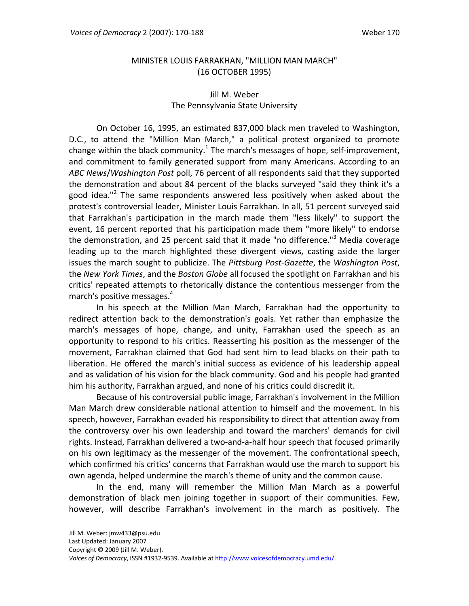#### MINISTER LOUIS FARRAKHAN, "MILLION MAN MARCH" (16 OCTOBER 1995)

### Jill M. Weber The Pennsylvania State University

On October 16, 1995, an estimated 837,000 black men traveled to Washington, D.C., to attend the "Million Man March," a political protest organized to promote change within the black community.<sup>1</sup> The march's messages of hope, self-improvement, and commitment to family generated support from many Americans. According to an *ABC News*/*Washington Post* poll, 76 percent of all respondents said that they supported the demonstration and about 84 percent of the blacks surveyed "said they think it's a good idea."<sup>2</sup> The same respondents answered less positively when asked about the protest's controversial leader, Minister Louis Farrakhan. In all, 51 percent surveyed said that Farrakhan's participation in the march made them "less likely" to support the event, 16 percent reported that his participation made them "more likely" to endorse the demonstration, and 25 percent said that it made "no difference."<sup>3</sup> Media coverage leading up to the march highlighted these divergent views, casting aside the larger issues the march sought to publicize. The *Pittsburg Post‐Gazette*, the *Washington Post*, the *New York Times*, and the *Boston Globe* all focused the spotlight on Farrakhan and his critics' repeated attempts to rhetorically distance the contentious messenger from the march's positive messages.<sup>4</sup>

In his speech at the Million Man March, Farrakhan had the opportunity to redirect attention back to the demonstration's goals. Yet rather than emphasize the march's messages of hope, change, and unity, Farrakhan used the speech as an opportunity to respond to his critics. Reasserting his position as the messenger of the movement, Farrakhan claimed that God had sent him to lead blacks on their path to liberation. He offered the march's initial success as evidence of his leadership appeal and as validation of his vision for the black community. God and his people had granted him his authority, Farrakhan argued, and none of his critics could discredit it.

Because of his controversial public image, Farrakhan's involvement in the Million Man March drew considerable national attention to himself and the movement. In his speech, however, Farrakhan evaded his responsibility to direct that attention away from the controversy over his own leadership and toward the marchers' demands for civil rights. Instead, Farrakhan delivered a two‐and‐a‐half hour speech that focused primarily on his own legitimacy as the messenger of the movement. The confrontational speech, which confirmed his critics' concerns that Farrakhan would use the march to support his own agenda, helped undermine the march's theme of unity and the common cause.

In the end, many will remember the Million Man March as a powerful demonstration of black men joining together in support of their communities. Few, however, will describe Farrakhan's involvement in the march as positively. The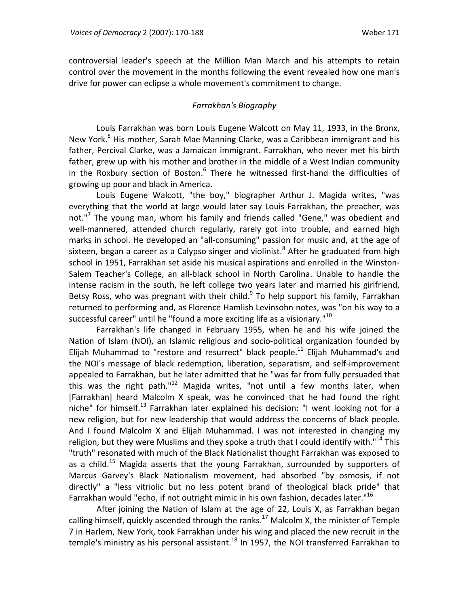controversial leader's speech at the Million Man March and his attempts to retain control over the movement in the months following the event revealed how one man's drive for power can eclipse a whole movement's commitment to change.

#### *Farrakhan's Biography*

Louis Farrakhan was born Louis Eugene Walcott on May 11, 1933, in the Bronx, New York.<sup>5</sup> His mother, Sarah Mae Manning Clarke, was a Caribbean immigrant and his father, Percival Clarke, was a Jamaican immigrant. Farrakhan, who never met his birth father, grew up with his mother and brother in the middle of a West Indian community in the Roxbury section of Boston. $6$  There he witnessed first-hand the difficulties of growing up poor and black in America.

Louis Eugene Walcott, "the boy," biographer Arthur J. Magida writes, "was everything that the world at large would later say Louis Farrakhan, the preacher, was not."<sup>7</sup> The young man, whom his family and friends called "Gene," was obedient and well-mannered, attended church regularly, rarely got into trouble, and earned high marks in school. He developed an "all‐consuming" passion for music and, at the age of sixteen, began a career as a Calypso singer and violinist.<sup>8</sup> After he graduated from high school in 1951, Farrakhan set aside his musical aspirations and enrolled in the Winston‐ Salem Teacher's College, an all‐black school in North Carolina. Unable to handle the intense racism in the south, he left college two years later and married his girlfriend, Betsy Ross, who was pregnant with their child.<sup>9</sup> To help support his family, Farrakhan returned to performing and, as Florence Hamlish Levinsohn notes, was "on his way to a successful career" until he "found a more exciting life as a visionary."<sup>10</sup>

Farrakhan's life changed in February 1955, when he and his wife joined the Nation of Islam (NOI), an Islamic religious and socio‐political organization founded by Elijah Muhammad to "restore and resurrect" black people.<sup>11</sup> Elijah Muhammad's and the NOI's message of black redemption, liberation, separatism, and self‐improvement appealed to Farrakhan, but he later admitted that he "was far from fully persuaded that this was the right path." $12$  Magida writes, "not until a few months later, when [Farrakhan] heard Malcolm X speak, was he convinced that he had found the right niche" for himself.<sup>13</sup> Farrakhan later explained his decision: "I went looking not for a new religion, but for new leadership that would address the concerns of black people. And I found Malcolm X and Elijah Muhammad. I was not interested in changing my religion, but they were Muslims and they spoke a truth that I could identify with."<sup>14</sup> This "truth" resonated with much of the Black Nationalist thought Farrakhan was exposed to as a child.<sup>15</sup> Magida asserts that the young Farrakhan, surrounded by supporters of Marcus Garvey's Black Nationalism movement, had absorbed "by osmosis, if not directly" a "less vitriolic but no less potent brand of theological black pride" that Farrakhan would "echo, if not outright mimic in his own fashion, decades later."<sup>16</sup>

After joining the Nation of Islam at the age of 22, Louis X, as Farrakhan began calling himself, quickly ascended through the ranks.<sup>17</sup> Malcolm X, the minister of Temple 7 in Harlem, New York, took Farrakhan under his wing and placed the new recruit in the temple's ministry as his personal assistant.<sup>18</sup> In 1957, the NOI transferred Farrakhan to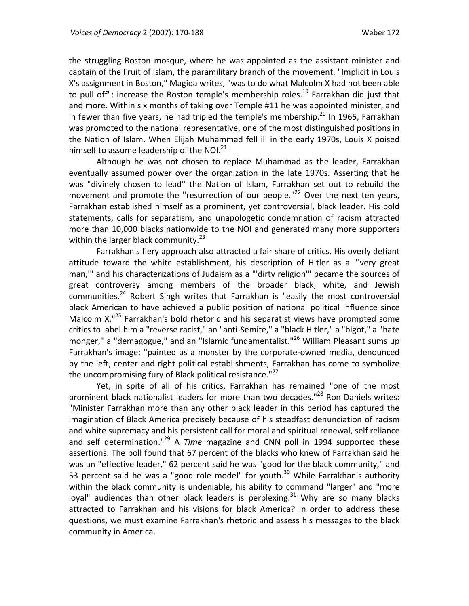the struggling Boston mosque, where he was appointed as the assistant minister and captain of the Fruit of Islam, the paramilitary branch of the movement. "Implicit in Louis X's assignment in Boston," Magida writes, "was to do what Malcolm X had not been able to pull off": increase the Boston temple's membership roles.<sup>19</sup> Farrakhan did just that and more. Within six months of taking over Temple #11 he was appointed minister, and in fewer than five years, he had tripled the temple's membership.<sup>20</sup> In 1965, Farrakhan was promoted to the national representative, one of the most distinguished positions in the Nation of Islam. When Elijah Muhammad fell ill in the early 1970s, Louis X poised himself to assume leadership of the NOI.<sup>21</sup>

Although he was not chosen to replace Muhammad as the leader, Farrakhan eventually assumed power over the organization in the late 1970s. Asserting that he was "divinely chosen to lead" the Nation of Islam, Farrakhan set out to rebuild the movement and promote the "resurrection of our people." $^{22}$  Over the next ten years, Farrakhan established himself as a prominent, yet controversial, black leader. His bold statements, calls for separatism, and unapologetic condemnation of racism attracted more than 10,000 blacks nationwide to the NOI and generated many more supporters within the larger black community. $^{23}$ 

Farrakhan's fiery approach also attracted a fair share of critics. His overly defiant attitude toward the white establishment, his description of Hitler as a "'very great man,'" and his characterizations of Judaism as a "'dirty religion'" became the sources of great controversy among members of the broader black, white, and Jewish communities. $^{24}$  Robert Singh writes that Farrakhan is "easily the most controversial black American to have achieved a public position of national political influence since Malcolm X.<sup>"25</sup> Farrakhan's bold rhetoric and his separatist views have prompted some critics to label him a "reverse racist," an "anti‐Semite," a "black Hitler," a "bigot," a "hate monger," a "demagogue," and an "Islamic fundamentalist."<sup>26</sup> William Pleasant sums up Farrakhan's image: "painted as a monster by the corporate‐owned media, denounced by the left, center and right political establishments, Farrakhan has come to symbolize the uncompromising fury of Black political resistance."<sup>27</sup>

Yet, in spite of all of his critics, Farrakhan has remained "one of the most prominent black nationalist leaders for more than two decades."<sup>28</sup> Ron Daniels writes: "Minister Farrakhan more than any other black leader in this period has captured the imagination of Black America precisely because of his steadfast denunciation of racism and white supremacy and his persistent call for moral and spiritual renewal, self reliance and self determination.<sup>"29</sup> A *Time* magazine and CNN poll in 1994 supported these assertions. The poll found that 67 percent of the blacks who knew of Farrakhan said he was an "effective leader," 62 percent said he was "good for the black community," and 53 percent said he was a "good role model" for youth.<sup>30</sup> While Farrakhan's authority within the black community is undeniable, his ability to command "larger" and "more loyal" audiences than other black leaders is perplexing.<sup>31</sup> Why are so many blacks attracted to Farrakhan and his visions for black America? In order to address these questions, we must examine Farrakhan's rhetoric and assess his messages to the black community in America.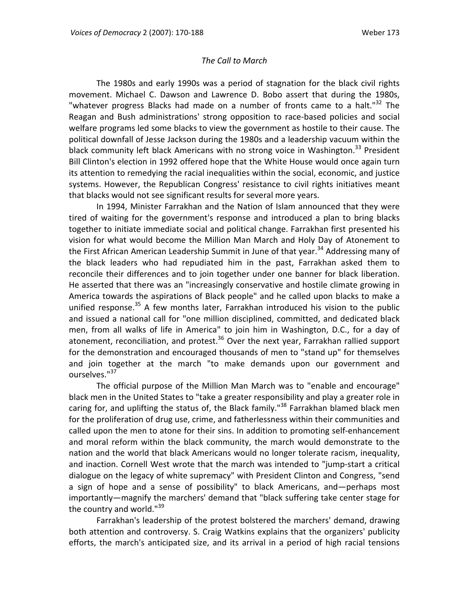#### *The Call to March*

The 1980s and early 1990s was a period of stagnation for the black civil rights movement. Michael C. Dawson and Lawrence D. Bobo assert that during the 1980s, "whatever progress Blacks had made on a number of fronts came to a halt."<sup>32</sup> The Reagan and Bush administrations' strong opposition to race‐based policies and social welfare programs led some blacks to view the government as hostile to their cause. The political downfall of Jesse Jackson during the 1980s and a leadership vacuum within the black community left black Americans with no strong voice in Washington.<sup>33</sup> President Bill Clinton's election in 1992 offered hope that the White House would once again turn its attention to remedying the racial inequalities within the social, economic, and justice systems. However, the Republican Congress' resistance to civil rights initiatives meant that blacks would not see significant results for several more years.

In 1994, Minister Farrakhan and the Nation of Islam announced that they were tired of waiting for the government's response and introduced a plan to bring blacks together to initiate immediate social and political change. Farrakhan first presented his vision for what would become the Million Man March and Holy Day of Atonement to the First African American Leadership Summit in June of that year.<sup>34</sup> Addressing many of the black leaders who had repudiated him in the past, Farrakhan asked them to reconcile their differences and to join together under one banner for black liberation. He asserted that there was an "increasingly conservative and hostile climate growing in America towards the aspirations of Black people" and he called upon blacks to make a unified response. $35$  A few months later, Farrakhan introduced his vision to the public and issued a national call for "one million disciplined, committed, and dedicated black men, from all walks of life in America" to join him in Washington, D.C., for a day of atonement, reconciliation, and protest.<sup>36</sup> Over the next year, Farrakhan rallied support for the demonstration and encouraged thousands of men to "stand up" for themselves and join together at the march "to make demands upon our government and ourselves."<sup>37</sup>

The official purpose of the Million Man March was to "enable and encourage" black men in the United States to "take a greater responsibility and play a greater role in caring for, and uplifting the status of, the Black family."<sup>38</sup> Farrakhan blamed black men for the proliferation of drug use, crime, and fatherlessness within their communities and called upon the men to atone for their sins. In addition to promoting self‐enhancement and moral reform within the black community, the march would demonstrate to the nation and the world that black Americans would no longer tolerate racism, inequality, and inaction. Cornell West wrote that the march was intended to "jump‐start a critical dialogue on the legacy of white supremacy" with President Clinton and Congress, "send a sign of hope and a sense of possibility" to black Americans, and—perhaps most importantly—magnify the marchers' demand that "black suffering take center stage for the country and world."<sup>39</sup>

Farrakhan's leadership of the protest bolstered the marchers' demand, drawing both attention and controversy. S. Craig Watkins explains that the organizers' publicity efforts, the march's anticipated size, and its arrival in a period of high racial tensions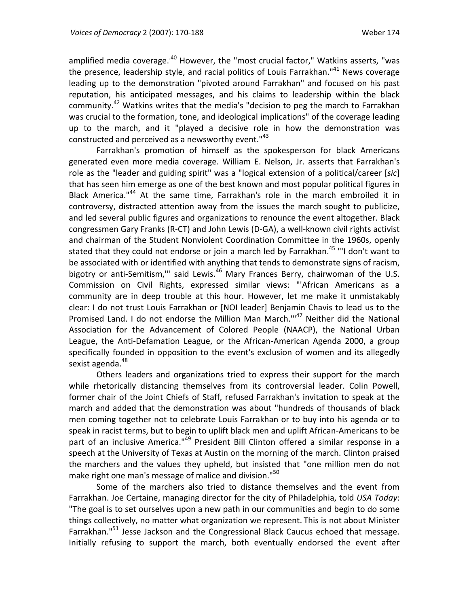amplified media coverage. $40$  However, the "most crucial factor," Watkins asserts, "was the presence, leadership style, and racial politics of Louis Farrakhan."<sup>41</sup> News coverage leading up to the demonstration "pivoted around Farrakhan" and focused on his past reputation, his anticipated messages, and his claims to leadership within the black community.42 Watkins writes that the media's "decision to peg the march to Farrakhan was crucial to the formation, tone, and ideological implications" of the coverage leading up to the march, and it "played a decisive role in how the demonstration was constructed and perceived as a newsworthy event.<sup>143</sup>

Farrakhan's promotion of himself as the spokesperson for black Americans generated even more media coverage. William E. Nelson, Jr. asserts that Farrakhan's role as the "leader and guiding spirit" was a "logical extension of a political/career [*sic*] that has seen him emerge as one of the best known and most popular political figures in Black America."<sup>44</sup> At the same time, Farrakhan's role in the march embroiled it in controversy, distracted attention away from the issues the march sought to publicize, and led several public figures and organizations to renounce the event altogether. Black congressmen Gary Franks (R‐CT) and John Lewis (D‐GA), a well‐known civil rights activist and chairman of the Student Nonviolent Coordination Committee in the 1960s, openly stated that they could not endorse or join a march led by Farrakhan.<sup>45</sup> "'I don't want to be associated with or identified with anything that tends to demonstrate signs of racism, bigotry or anti-Semitism," said Lewis.<sup>46</sup> Mary Frances Berry, chairwoman of the U.S. Commission on Civil Rights, expressed similar views: "'African Americans as a community are in deep trouble at this hour. However, let me make it unmistakably clear: I do not trust Louis Farrakhan or [NOI leader] Benjamin Chavis to lead us to the Promised Land. I do not endorse the Million Man March."<sup>47</sup> Neither did the National Association for the Advancement of Colored People (NAACP), the National Urban League, the Anti-Defamation League, or the African-American Agenda 2000, a group specifically founded in opposition to the event's exclusion of women and its allegedly sexist agenda.<sup>48</sup>

Others leaders and organizations tried to express their support for the march while rhetorically distancing themselves from its controversial leader. Colin Powell, former chair of the Joint Chiefs of Staff, refused Farrakhan's invitation to speak at the march and added that the demonstration was about "hundreds of thousands of black men coming together not to celebrate Louis Farrakhan or to buy into his agenda or to speak in racist terms, but to begin to uplift black men and uplift African-Americans to be part of an inclusive America."<sup>49</sup> President Bill Clinton offered a similar response in a speech at the University of Texas at Austin on the morning of the march. Clinton praised the marchers and the values they upheld, but insisted that "one million men do not make right one man's message of malice and division."<sup>50</sup>

Some of the marchers also tried to distance themselves and the event from Farrakhan. Joe Certaine, managing director for the city of Philadelphia, told *USA Today*: "The goal is to set ourselves upon a new path in our communities and begin to do some things collectively, no matter what organization we represent. This is not about Minister Farrakhan."<sup>51</sup> Jesse Jackson and the Congressional Black Caucus echoed that message. Initially refusing to support the march, both eventually endorsed the event after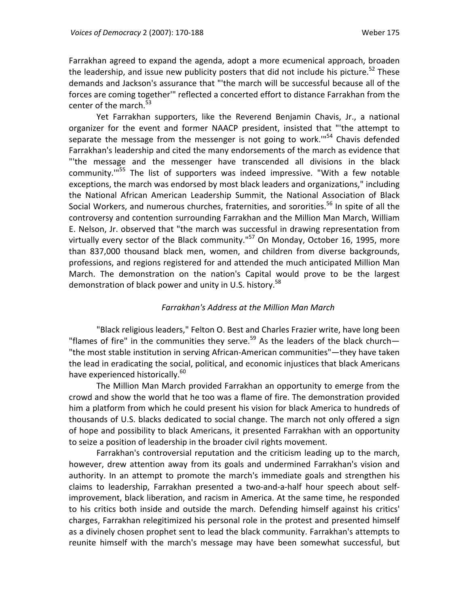Farrakhan agreed to expand the agenda, adopt a more ecumenical approach, broaden the leadership, and issue new publicity posters that did not include his picture.<sup>52</sup> These demands and Jackson's assurance that "'the march will be successful because all of the forces are coming together'" reflected a concerted effort to distance Farrakhan from the center of the march.<sup>53</sup>

Yet Farrakhan supporters, like the Reverend Benjamin Chavis, Jr., a national organizer for the event and former NAACP president, insisted that "'the attempt to separate the message from the messenger is not going to work." $54$  Chavis defended Farrakhan's leadership and cited the many endorsements of the march as evidence that "'the message and the messenger have transcended all divisions in the black community."<sup>55</sup> The list of supporters was indeed impressive. "With a few notable exceptions, the march was endorsed by most black leaders and organizations," including the National African American Leadership Summit, the National Association of Black Social Workers, and numerous churches, fraternities, and sororities.<sup>56</sup> In spite of all the controversy and contention surrounding Farrakhan and the Million Man March, William E. Nelson, Jr. observed that "the march was successful in drawing representation from virtually every sector of the Black community."<sup>57</sup> On Monday, October 16, 1995, more than 837,000 thousand black men, women, and children from diverse backgrounds, professions, and regions registered for and attended the much anticipated Million Man March. The demonstration on the nation's Capital would prove to be the largest demonstration of black power and unity in U.S. history.<sup>58</sup>

#### *Farrakhan's Address at the Million Man March*

"Black religious leaders," Felton O. Best and Charles Frazier write, have long been "flames of fire" in the communities they serve.<sup>59</sup> As the leaders of the black church-"the most stable institution in serving African‐American communities"—they have taken the lead in eradicating the social, political, and economic injustices that black Americans have experienced historically.<sup>60</sup>

The Million Man March provided Farrakhan an opportunity to emerge from the crowd and show the world that he too was a flame of fire. The demonstration provided him a platform from which he could present his vision for black America to hundreds of thousands of U.S. blacks dedicated to social change. The march not only offered a sign of hope and possibility to black Americans, it presented Farrakhan with an opportunity to seize a position of leadership in the broader civil rights movement.

Farrakhan's controversial reputation and the criticism leading up to the march, however, drew attention away from its goals and undermined Farrakhan's vision and authority. In an attempt to promote the march's immediate goals and strengthen his claims to leadership, Farrakhan presented a two‐and‐a‐half hour speech about self‐ improvement, black liberation, and racism in America. At the same time, he responded to his critics both inside and outside the march. Defending himself against his critics' charges, Farrakhan relegitimized his personal role in the protest and presented himself as a divinely chosen prophet sent to lead the black community. Farrakhan's attempts to reunite himself with the march's message may have been somewhat successful, but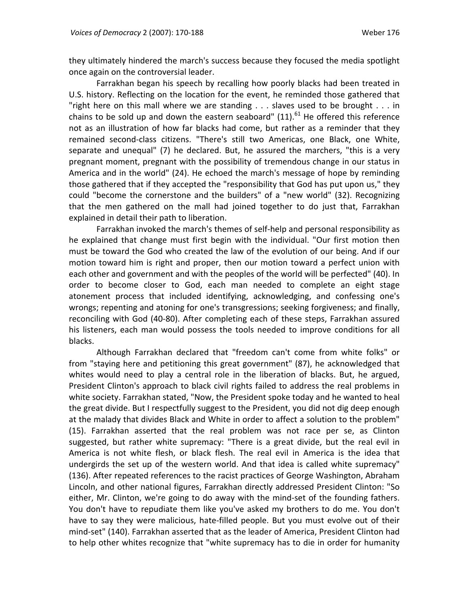they ultimately hindered the march's success because they focused the media spotlight once again on the controversial leader.

Farrakhan began his speech by recalling how poorly blacks had been treated in U.S. history. Reflecting on the location for the event, he reminded those gathered that "right here on this mall where we are standing . . . slaves used to be brought . . . in chains to be sold up and down the eastern seaboard"  $(11).<sup>61</sup>$  He offered this reference not as an illustration of how far blacks had come, but rather as a reminder that they remained second‐class citizens. "There's still two Americas, one Black, one White, separate and unequal" (7) he declared. But, he assured the marchers, "this is a very pregnant moment, pregnant with the possibility of tremendous change in our status in America and in the world" (24). He echoed the march's message of hope by reminding those gathered that if they accepted the "responsibility that God has put upon us," they could "become the cornerstone and the builders" of a "new world" (32). Recognizing that the men gathered on the mall had joined together to do just that, Farrakhan explained in detail their path to liberation.

Farrakhan invoked the march's themes of self‐help and personal responsibility as he explained that change must first begin with the individual. "Our first motion then must be toward the God who created the law of the evolution of our being. And if our motion toward him is right and proper, then our motion toward a perfect union with each other and government and with the peoples of the world will be perfected" (40). In order to become closer to God, each man needed to complete an eight stage atonement process that included identifying, acknowledging, and confessing one's wrongs; repenting and atoning for one's transgressions; seeking forgiveness; and finally, reconciling with God (40‐80). After completing each of these steps, Farrakhan assured his listeners, each man would possess the tools needed to improve conditions for all blacks.

Although Farrakhan declared that "freedom can't come from white folks" or from "staying here and petitioning this great government" (87), he acknowledged that whites would need to play a central role in the liberation of blacks. But, he argued, President Clinton's approach to black civil rights failed to address the real problems in white society. Farrakhan stated, "Now, the President spoke today and he wanted to heal the great divide. But I respectfully suggest to the President, you did not dig deep enough at the malady that divides Black and White in order to affect a solution to the problem" (15). Farrakhan asserted that the real problem was not race per se, as Clinton suggested, but rather white supremacy: "There is a great divide, but the real evil in America is not white flesh, or black flesh. The real evil in America is the idea that undergirds the set up of the western world. And that idea is called white supremacy" (136). After repeated references to the racist practices of George Washington, Abraham Lincoln, and other national figures, Farrakhan directly addressed President Clinton: "So either, Mr. Clinton, we're going to do away with the mind-set of the founding fathers. You don't have to repudiate them like you've asked my brothers to do me. You don't have to say they were malicious, hate‐filled people. But you must evolve out of their mind‐set" (140). Farrakhan asserted that as the leader of America, President Clinton had to help other whites recognize that "white supremacy has to die in order for humanity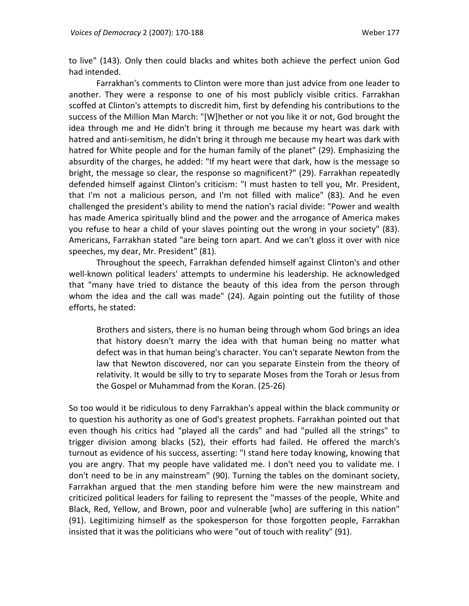to live" (143). Only then could blacks and whites both achieve the perfect union God had intended.

Farrakhan's comments to Clinton were more than just advice from one leader to another. They were a response to one of his most publicly visible critics. Farrakhan scoffed at Clinton's attempts to discredit him, first by defending his contributions to the success of the Million Man March: "[W]hether or not you like it or not, God brought the idea through me and He didn't bring it through me because my heart was dark with hatred and anti‐semitism, he didn't bring it through me because my heart was dark with hatred for White people and for the human family of the planet" (29). Emphasizing the absurdity of the charges, he added: "If my heart were that dark, how is the message so bright, the message so clear, the response so magnificent?" (29). Farrakhan repeatedly defended himself against Clinton's criticism: "I must hasten to tell you, Mr. President, that I'm not a malicious person, and I'm not filled with malice" (83). And he even challenged the president's ability to mend the nation's racial divide: "Power and wealth has made America spiritually blind and the power and the arrogance of America makes you refuse to hear a child of your slaves pointing out the wrong in your society" (83). Americans, Farrakhan stated "are being torn apart. And we can't gloss it over with nice speeches, my dear, Mr. President" (81).

Throughout the speech, Farrakhan defended himself against Clinton's and other well-known political leaders' attempts to undermine his leadership. He acknowledged that "many have tried to distance the beauty of this idea from the person through whom the idea and the call was made" (24). Again pointing out the futility of those efforts, he stated:

Brothers and sisters, there is no human being through whom God brings an idea that history doesn't marry the idea with that human being no matter what defect was in that human being's character. You can't separate Newton from the law that Newton discovered, nor can you separate Einstein from the theory of relativity. It would be silly to try to separate Moses from the Torah or Jesus from the Gospel or Muhammad from the Koran. (25‐26)

So too would it be ridiculous to deny Farrakhan's appeal within the black community or to question his authority as one of God's greatest prophets. Farrakhan pointed out that even though his critics had "played all the cards" and had "pulled all the strings" to trigger division among blacks (52), their efforts had failed. He offered the march's turnout as evidence of his success, asserting: "I stand here today knowing, knowing that you are angry. That my people have validated me. I don't need you to validate me. I don't need to be in any mainstream" (90). Turning the tables on the dominant society, Farrakhan argued that the men standing before him were the new mainstream and criticized political leaders for failing to represent the "masses of the people, White and Black, Red, Yellow, and Brown, poor and vulnerable [who] are suffering in this nation" (91). Legitimizing himself as the spokesperson for those forgotten people, Farrakhan insisted that it was the politicians who were "out of touch with reality" (91).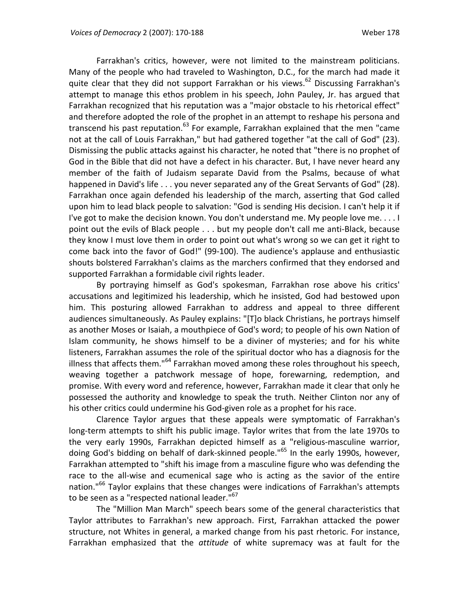Farrakhan's critics, however, were not limited to the mainstream politicians. Many of the people who had traveled to Washington, D.C., for the march had made it quite clear that they did not support Farrakhan or his views.<sup>62</sup> Discussing Farrakhan's attempt to manage this ethos problem in his speech, John Pauley, Jr. has argued that Farrakhan recognized that his reputation was a "major obstacle to his rhetorical effect" and therefore adopted the role of the prophet in an attempt to reshape his persona and transcend his past reputation.<sup>63</sup> For example, Farrakhan explained that the men "came not at the call of Louis Farrakhan," but had gathered together "at the call of God" (23). Dismissing the public attacks against his character, he noted that "there is no prophet of God in the Bible that did not have a defect in his character. But, I have never heard any member of the faith of Judaism separate David from the Psalms, because of what happened in David's life . . . you never separated any of the Great Servants of God" (28). Farrakhan once again defended his leadership of the march, asserting that God called upon him to lead black people to salvation: "God is sending His decision. I can't help it if I've got to make the decision known. You don't understand me. My people love me. . . . I point out the evils of Black people . . . but my people don't call me anti‐Black, because they know I must love them in order to point out what's wrong so we can get it right to come back into the favor of God!" (99‐100). The audience's applause and enthusiastic shouts bolstered Farrakhan's claims as the marchers confirmed that they endorsed and supported Farrakhan a formidable civil rights leader.

By portraying himself as God's spokesman, Farrakhan rose above his critics' accusations and legitimized his leadership, which he insisted, God had bestowed upon him. This posturing allowed Farrakhan to address and appeal to three different audiences simultaneously. As Pauley explains: "[T]o black Christians, he portrays himself as another Moses or Isaiah, a mouthpiece of God's word; to people of his own Nation of Islam community, he shows himself to be a diviner of mysteries; and for his white listeners, Farrakhan assumes the role of the spiritual doctor who has a diagnosis for the illness that affects them." $64$  Farrakhan moved among these roles throughout his speech, weaving together a patchwork message of hope, forewarning, redemption, and promise. With every word and reference, however, Farrakhan made it clear that only he possessed the authority and knowledge to speak the truth. Neither Clinton nor any of his other critics could undermine his God‐given role as a prophet for his race.

Clarence Taylor argues that these appeals were symptomatic of Farrakhan's long-term attempts to shift his public image. Taylor writes that from the late 1970s to the very early 1990s, Farrakhan depicted himself as a "religious‐masculine warrior, doing God's bidding on behalf of dark-skinned people."<sup>65</sup> In the early 1990s, however, Farrakhan attempted to "shift his image from a masculine figure who was defending the race to the all-wise and ecumenical sage who is acting as the savior of the entire nation."<sup>66</sup> Taylor explains that these changes were indications of Farrakhan's attempts to be seen as a "respected national leader."<sup>67</sup>

The "Million Man March" speech bears some of the general characteristics that Taylor attributes to Farrakhan's new approach. First, Farrakhan attacked the power structure, not Whites in general, a marked change from his past rhetoric. For instance, Farrakhan emphasized that the *attitude* of white supremacy was at fault for the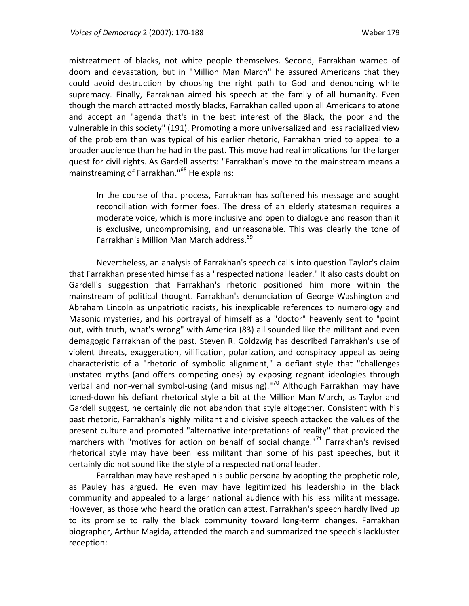mistreatment of blacks, not white people themselves. Second, Farrakhan warned of doom and devastation, but in "Million Man March" he assured Americans that they could avoid destruction by choosing the right path to God and denouncing white supremacy. Finally, Farrakhan aimed his speech at the family of all humanity. Even though the march attracted mostly blacks, Farrakhan called upon all Americans to atone and accept an "agenda that's in the best interest of the Black, the poor and the vulnerable in this society" (191). Promoting a more universalized and less racialized view of the problem than was typical of his earlier rhetoric, Farrakhan tried to appeal to a broader audience than he had in the past. This move had real implications for the larger quest for civil rights. As Gardell asserts: "Farrakhan's move to the mainstream means a mainstreaming of Farrakhan."<sup>68</sup> He explains:

In the course of that process, Farrakhan has softened his message and sought reconciliation with former foes. The dress of an elderly statesman requires a moderate voice, which is more inclusive and open to dialogue and reason than it is exclusive, uncompromising, and unreasonable. This was clearly the tone of Farrakhan's Million Man March address.<sup>69</sup>

Nevertheless, an analysis of Farrakhan's speech calls into question Taylor's claim that Farrakhan presented himself as a "respected national leader." It also casts doubt on Gardell's suggestion that Farrakhan's rhetoric positioned him more within the mainstream of political thought. Farrakhan's denunciation of George Washington and Abraham Lincoln as unpatriotic racists, his inexplicable references to numerology and Masonic mysteries, and his portrayal of himself as a "doctor" heavenly sent to "point out, with truth, what's wrong" with America (83) all sounded like the militant and even demagogic Farrakhan of the past. Steven R. Goldzwig has described Farrakhan's use of violent threats, exaggeration, vilification, polarization, and conspiracy appeal as being characteristic of a "rhetoric of symbolic alignment," a defiant style that "challenges unstated myths (and offers competing ones) by exposing regnant ideologies through verbal and non-vernal symbol-using (and misusing)."<sup>70</sup> Although Farrakhan may have toned‐down his defiant rhetorical style a bit at the Million Man March, as Taylor and Gardell suggest, he certainly did not abandon that style altogether. Consistent with his past rhetoric, Farrakhan's highly militant and divisive speech attacked the values of the present culture and promoted "alternative interpretations of reality" that provided the marchers with "motives for action on behalf of social change."<sup>71</sup> Farrakhan's revised rhetorical style may have been less militant than some of his past speeches, but it certainly did not sound like the style of a respected national leader.

Farrakhan may have reshaped his public persona by adopting the prophetic role, as Pauley has argued. He even may have legitimized his leadership in the black community and appealed to a larger national audience with his less militant message. However, as those who heard the oration can attest, Farrakhan's speech hardly lived up to its promise to rally the black community toward long-term changes. Farrakhan biographer, Arthur Magida, attended the march and summarized the speech's lackluster reception: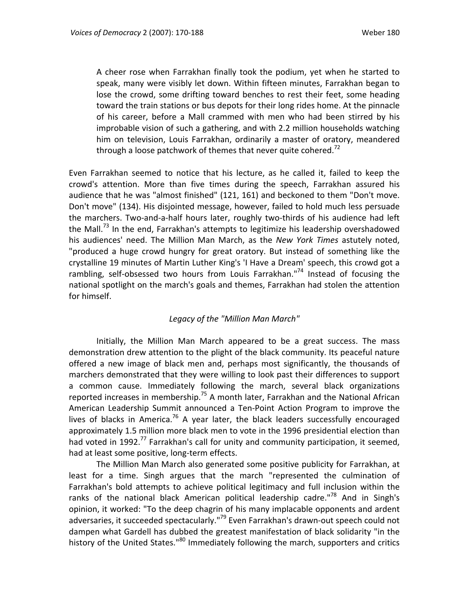A cheer rose when Farrakhan finally took the podium, yet when he started to speak, many were visibly let down. Within fifteen minutes, Farrakhan began to lose the crowd, some drifting toward benches to rest their feet, some heading toward the train stations or bus depots for their long rides home. At the pinnacle of his career, before a Mall crammed with men who had been stirred by his improbable vision of such a gathering, and with 2.2 million households watching him on television, Louis Farrakhan, ordinarily a master of oratory, meandered through a loose patchwork of themes that never quite cohered.<sup>72</sup>

Even Farrakhan seemed to notice that his lecture, as he called it, failed to keep the crowd's attention. More than five times during the speech, Farrakhan assured his audience that he was "almost finished" (121, 161) and beckoned to them "Don't move. Don't move" (134). His disjointed message, however, failed to hold much less persuade the marchers. Two-and-a-half hours later, roughly two-thirds of his audience had left the Mall.<sup>73</sup> In the end, Farrakhan's attempts to legitimize his leadership overshadowed his audiences' need. The Million Man March, as the *New York Times* astutely noted, "produced a huge crowd hungry for great oratory. But instead of something like the crystalline 19 minutes of Martin Luther King's 'I Have a Dream' speech, this crowd got a rambling, self-obsessed two hours from Louis Farrakhan."<sup>74</sup> Instead of focusing the national spotlight on the march's goals and themes, Farrakhan had stolen the attention for himself.

### *Legacy of the "Million Man March"*

Initially, the Million Man March appeared to be a great success. The mass demonstration drew attention to the plight of the black community. Its peaceful nature offered a new image of black men and, perhaps most significantly, the thousands of marchers demonstrated that they were willing to look past their differences to support a common cause. Immediately following the march, several black organizations reported increases in membership.<sup>75</sup> A month later, Farrakhan and the National African American Leadership Summit announced a Ten‐Point Action Program to improve the lives of blacks in America.<sup>76</sup> A year later, the black leaders successfully encouraged approximately 1.5 million more black men to vote in the 1996 presidential election than had voted in 1992.<sup>77</sup> Farrakhan's call for unity and community participation, it seemed, had at least some positive, long‐term effects.

The Million Man March also generated some positive publicity for Farrakhan, at least for a time. Singh argues that the march "represented the culmination of Farrakhan's bold attempts to achieve political legitimacy and full inclusion within the ranks of the national black American political leadership cadre."<sup>78</sup> And in Singh's opinion, it worked: "To the deep chagrin of his many implacable opponents and ardent adversaries, it succeeded spectacularly."<sup>79</sup> Even Farrakhan's drawn-out speech could not dampen what Gardell has dubbed the greatest manifestation of black solidarity "in the history of the United States."<sup>80</sup> Immediately following the march, supporters and critics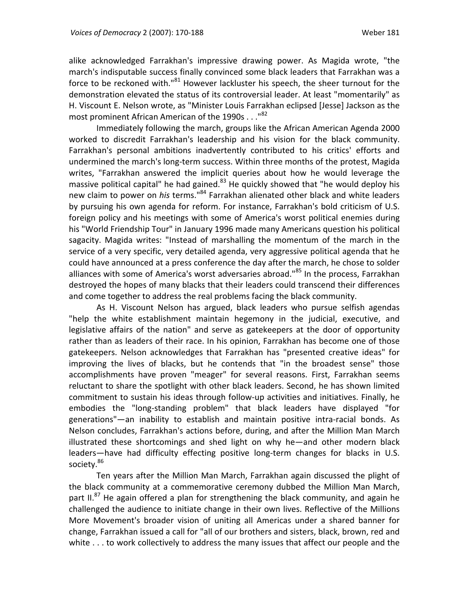alike acknowledged Farrakhan's impressive drawing power. As Magida wrote, "the march's indisputable success finally convinced some black leaders that Farrakhan was a force to be reckoned with."<sup>81</sup> However lackluster his speech, the sheer turnout for the demonstration elevated the status of its controversial leader. At least "momentarily" as H. Viscount E. Nelson wrote, as "Minister Louis Farrakhan eclipsed [Jesse] Jackson as the most prominent African American of the 1990s . . . "82

Immediately following the march, groups like the African American Agenda 2000 worked to discredit Farrakhan's leadership and his vision for the black community. Farrakhan's personal ambitions inadvertently contributed to his critics' efforts and undermined the march's long‐term success. Within three months of the protest, Magida writes, "Farrakhan answered the implicit queries about how he would leverage the massive political capital" he had gained. $83$  He quickly showed that "he would deploy his new claim to power on *his* terms."84 Farrakhan alienated other black and white leaders by pursuing his own agenda for reform. For instance, Farrakhan's bold criticism of U.S. foreign policy and his meetings with some of America's worst political enemies during his "World Friendship Tour" in January 1996 made many Americans question his political sagacity. Magida writes: "Instead of marshalling the momentum of the march in the service of a very specific, very detailed agenda, very aggressive political agenda that he could have announced at a press conference the day after the march, he chose to solder alliances with some of America's worst adversaries abroad."<sup>85</sup> In the process, Farrakhan destroyed the hopes of many blacks that their leaders could transcend their differences and come together to address the real problems facing the black community.

As H. Viscount Nelson has argued, black leaders who pursue selfish agendas "help the white establishment maintain hegemony in the judicial, executive, and legislative affairs of the nation" and serve as gatekeepers at the door of opportunity rather than as leaders of their race. In his opinion, Farrakhan has become one of those gatekeepers. Nelson acknowledges that Farrakhan has "presented creative ideas" for improving the lives of blacks, but he contends that "in the broadest sense" those accomplishments have proven "meager" for several reasons. First, Farrakhan seems reluctant to share the spotlight with other black leaders. Second, he has shown limited commitment to sustain his ideas through follow-up activities and initiatives. Finally, he embodies the "long‐standing problem" that black leaders have displayed "for generations"—an inability to establish and maintain positive intra‐racial bonds. As Nelson concludes, Farrakhan's actions before, during, and after the Million Man March illustrated these shortcomings and shed light on why he—and other modern black leaders—have had difficulty effecting positive long‐term changes for blacks in U.S. society.<sup>86</sup>

Ten years after the Million Man March, Farrakhan again discussed the plight of the black community at a commemorative ceremony dubbed the Million Man March, part II.<sup>87</sup> He again offered a plan for strengthening the black community, and again he challenged the audience to initiate change in their own lives. Reflective of the Millions More Movement's broader vision of uniting all Americas under a shared banner for change, Farrakhan issued a call for "all of our brothers and sisters, black, brown, red and white . . . to work collectively to address the many issues that affect our people and the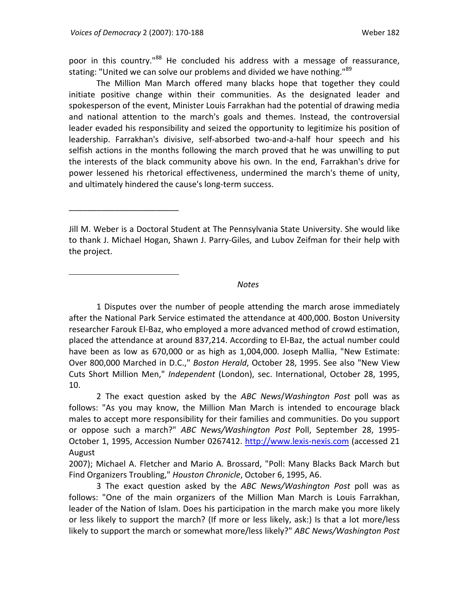\_\_\_\_\_\_\_\_\_\_\_\_\_\_\_\_\_\_\_\_\_\_\_\_

 $\overline{a}$ 

poor in this country.<sup>88</sup> He concluded his address with a message of reassurance, stating: "United we can solve our problems and divided we have nothing."<sup>89</sup>

The Million Man March offered many blacks hope that together they could initiate positive change within their communities. As the designated leader and spokesperson of the event, Minister Louis Farrakhan had the potential of drawing media and national attention to the march's goals and themes. Instead, the controversial leader evaded his responsibility and seized the opportunity to legitimize his position of leadership. Farrakhan's divisive, self‐absorbed two‐and‐a‐half hour speech and his selfish actions in the months following the march proved that he was unwilling to put the interests of the black community above his own. In the end, Farrakhan's drive for power lessened his rhetorical effectiveness, undermined the march's theme of unity, and ultimately hindered the cause's long‐term success.

Jill M. Weber is a Doctoral Student at The Pennsylvania State University. She would like to thank J. Michael Hogan, Shawn J. Parry‐Giles, and Lubov Zeifman for their help with the project.

#### *Notes*

1 Disputes over the number of people attending the march arose immediately after the National Park Service estimated the attendance at 400,000. Boston University researcher Farouk El‐Baz, who employed a more advanced method of crowd estimation, placed the attendance at around 837,214. According to El‐Baz, the actual number could have been as low as 670,000 or as high as 1,004,000. Joseph Mallia, "New Estimate: Over 800,000 Marched in D.C.," *Boston Herald*, October 28, 1995. See also "New View Cuts Short Million Men," *Independent* (London), sec. International, October 28, 1995, 10.

2 The exact question asked by the *ABC News*/*Washington Post* poll was as follows: "As you may know, the Million Man March is intended to encourage black males to accept more responsibility for their families and communities. Do you support or oppose such a march?" *ABC News/Washington Post* Poll, September 28, 1995‐ October 1, 1995, Accession Number 0267412. http://www.lexis-nexis.com (accessed 21 August

2007); Michael A. Fletcher and Mario A. Brossard, "Poll: Many Blacks Back March but Find Organizers Troubling," *Houston Chronicle*, October 6, 1995, A6.

3 The exact question asked by the *ABC News/Washington Post* poll was as follows: "One of the main organizers of the Million Man March is Louis Farrakhan, leader of the Nation of Islam. Does his participation in the march make you more likely or less likely to support the march? (If more or less likely, ask:) Is that a lot more/less likely to support the march or somewhat more/less likely?" *ABC News/Washington Post*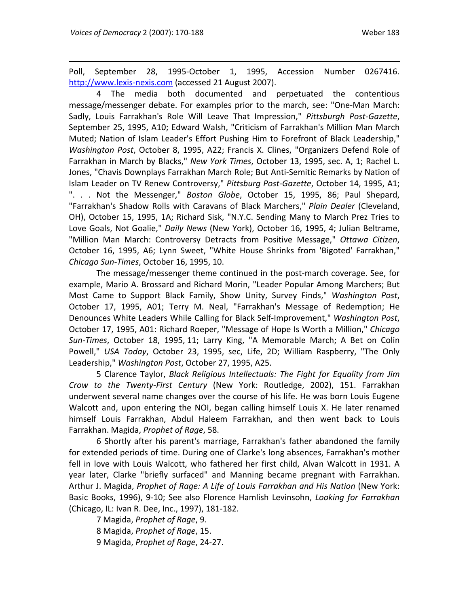Poll, September 28, 1995‐October 1, 1995, Accession Number 0267416. http://www.lexis-nexis.com (accessed 21 August 2007).

4 The media both documented and perpetuated the contentious message/messenger debate. For examples prior to the march, see: "One‐Man March: Sadly, Louis Farrakhan's Role Will Leave That Impression," *Pittsburgh Post‐Gazette*, September 25, 1995, A10; Edward Walsh, "Criticism of Farrakhan's Million Man March Muted; Nation of Islam Leader's Effort Pushing Him to Forefront of Black Leadership," *Washington Post*, October 8, 1995, A22; Francis X. Clines, "Organizers Defend Role of Farrakhan in March by Blacks," *New York Times*, October 13, 1995, sec. A, 1; Rachel L. Jones, "Chavis Downplays Farrakhan March Role; But Anti‐Semitic Remarks by Nation of Islam Leader on TV Renew Controversy," *Pittsburg Post‐Gazette*, October 14, 1995, A1; ". . . Not the Messenger," *Boston Globe*, October 15, 1995, 86; Paul Shepard, "Farrakhan's Shadow Rolls with Caravans of Black Marchers," *Plain Dealer* (Cleveland, OH), October 15, 1995, 1A; Richard Sisk, "N.Y.C. Sending Many to March Prez Tries to Love Goals, Not Goalie," *Daily News* (New York), October 16, 1995, 4; Julian Beltrame, "Million Man March: Controversy Detracts from Positive Message," *Ottawa Citizen*, October 16, 1995, A6; Lynn Sweet, "White House Shrinks from 'Bigoted' Farrakhan," *Chicago Sun‐Times*, October 16, 1995, 10.

The message/messenger theme continued in the post-march coverage. See, for example, Mario A. Brossard and Richard Morin, "Leader Popular Among Marchers; But Most Came to Support Black Family, Show Unity, Survey Finds," *Washington Post*, October 17, 1995, A01; Terry M. Neal, "Farrakhan's Message of Redemption; He Denounces White Leaders While Calling for Black Self‐Improvement," *Washington Post*, October 17, 1995, A01: Richard Roeper, "Message of Hope Is Worth a Million," *Chicago Sun‐Times*, October 18, 1995, 11; Larry King, "A Memorable March; A Bet on Colin Powell," *USA Today*, October 23, 1995, sec, Life, 2D; William Raspberry, "The Only Leadership," *Washington Post*, October 27, 1995, A25.

5 Clarence Taylor, *Black Religious Intellectuals: The Fight for Equality from Jim Crow to the Twenty‐First Century* (New York: Routledge, 2002), 151. Farrakhan underwent several name changes over the course of his life. He was born Louis Eugene Walcott and, upon entering the NOI, began calling himself Louis X. He later renamed himself Louis Farrakhan, Abdul Haleem Farrakhan, and then went back to Louis Farrakhan. Magida, *Prophet of Rage*, 58.

6 Shortly after his parent's marriage, Farrakhan's father abandoned the family for extended periods of time. During one of Clarke's long absences, Farrakhan's mother fell in love with Louis Walcott, who fathered her first child, Alvan Walcott in 1931. A year later, Clarke "briefly surfaced" and Manning became pregnant with Farrakhan. Arthur J. Magida, *Prophet of Rage: A Life of Louis Farrakhan and His Nation* (New York: Basic Books, 1996), 9‐10; See also Florence Hamlish Levinsohn, *Looking for Farrakhan* (Chicago, IL: Ivan R. Dee, Inc., 1997), 181‐182.

7 Magida, *Prophet of Rage*, 9. 8 Magida, *Prophet of Rage*, 15. 9 Magida, *Prophet of Rage*, 24‐27.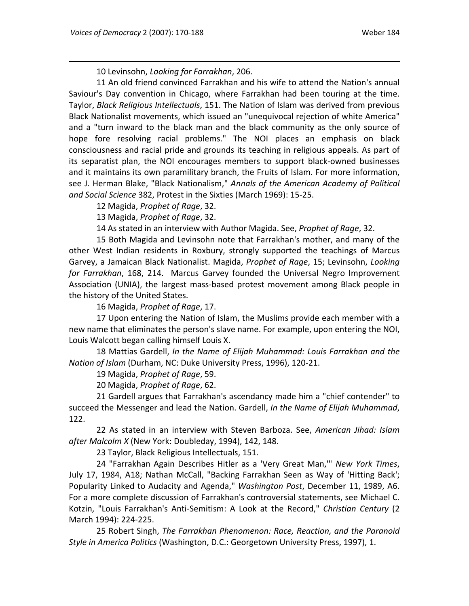10 Levinsohn, *Looking for Farrakhan*, 206.

11 An old friend convinced Farrakhan and his wife to attend the Nation's annual Saviour's Day convention in Chicago, where Farrakhan had been touring at the time. Taylor, *Black Religious Intellectuals*, 151. The Nation of Islam was derived from previous Black Nationalist movements, which issued an "unequivocal rejection of white America" and a "turn inward to the black man and the black community as the only source of hope fore resolving racial problems." The NOI places an emphasis on black consciousness and racial pride and grounds its teaching in religious appeals. As part of its separatist plan, the NOI encourages members to support black‐owned businesses and it maintains its own paramilitary branch, the Fruits of Islam. For more information, see J. Herman Blake, "Black Nationalism," *Annals of the American Academy of Political and Social Science* 382, Protest in the Sixties (March 1969): 15‐25.

12 Magida, *Prophet of Rage*, 32.

13 Magida, *Prophet of Rage*, 32.

14 As stated in an interview with Author Magida. See, *Prophet of Rage*, 32.

15 Both Magida and Levinsohn note that Farrakhan's mother, and many of the other West Indian residents in Roxbury, strongly supported the teachings of Marcus Garvey, a Jamaican Black Nationalist. Magida, *Prophet of Rage*, 15; Levinsohn, *Looking for Farrakhan*, 168, 214. Marcus Garvey founded the Universal Negro Improvement Association (UNIA), the largest mass‐based protest movement among Black people in the history of the United States.

16 Magida, *Prophet of Rage*, 17.

17 Upon entering the Nation of Islam, the Muslims provide each member with a new name that eliminates the person's slave name. For example, upon entering the NOI, Louis Walcott began calling himself Louis X.

18 Mattias Gardell, *In the Name of Elijah Muhammad: Louis Farrakhan and the Nation of Islam* (Durham, NC: Duke University Press, 1996), 120‐21.

19 Magida, *Prophet of Rage*, 59.

20 Magida, *Prophet of Rage*, 62.

21 Gardell argues that Farrakhan's ascendancy made him a "chief contender" to succeed the Messenger and lead the Nation. Gardell, *In the Name of Elijah Muhammad*, 122.

22 As stated in an interview with Steven Barboza. See, *American Jihad: Islam after Malcolm X* (New York: Doubleday, 1994), 142, 148.

23 Taylor, Black Religious Intellectuals, 151.

24 "Farrakhan Again Describes Hitler as a 'Very Great Man,'" *New York Times*, July 17, 1984, A18; Nathan McCall, "Backing Farrakhan Seen as Way of 'Hitting Back'; Popularity Linked to Audacity and Agenda," *Washington Post*, December 11, 1989, A6. For a more complete discussion of Farrakhan's controversial statements, see Michael C. Kotzin, "Louis Farrakhan's Anti‐Semitism: A Look at the Record," *Christian Century* (2 March 1994): 224‐225.

25 Robert Singh, *The Farrakhan Phenomenon: Race, Reaction, and the Paranoid Style in America Politics* (Washington, D.C.: Georgetown University Press, 1997), 1.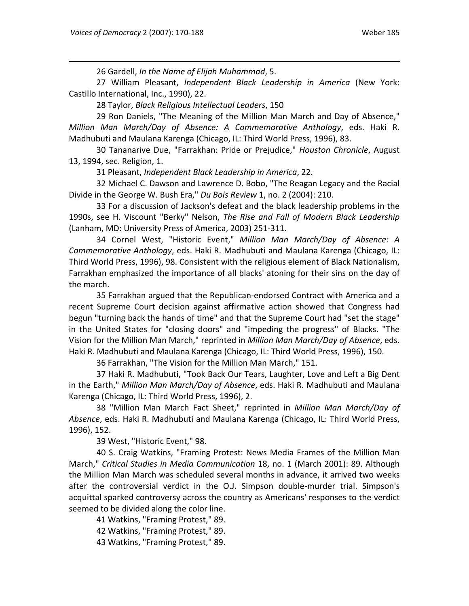26 Gardell, *In the Name of Elijah Muhammad*, 5.

27 William Pleasant, *Independent Black Leadership in America* (New York: Castillo International, Inc., 1990), 22.

28 Taylor, *Black Religious Intellectual Leaders*, 150

29 Ron Daniels, "The Meaning of the Million Man March and Day of Absence," *Million Man March/Day of Absence: A Commemorative Anthology*, eds. Haki R. Madhubuti and Maulana Karenga (Chicago, IL: Third World Press, 1996), 83.

30 Tananarive Due, "Farrakhan: Pride or Prejudice," *Houston Chronicle*, August 13, 1994, sec. Religion, 1.

31 Pleasant, *Independent Black Leadership in America*, 22.

32 Michael C. Dawson and Lawrence D. Bobo, "The Reagan Legacy and the Racial Divide in the George W. Bush Era," *Du Bois Review* 1, no. 2 (2004): 210.

33 For a discussion of Jackson's defeat and the black leadership problems in the 1990s, see H. Viscount "Berky" Nelson, *The Rise and Fall of Modern Black Leadership* (Lanham, MD: University Press of America, 2003) 251‐311.

34 Cornel West, "Historic Event," *Million Man March/Day of Absence: A Commemorative Anthology*, eds. Haki R. Madhubuti and Maulana Karenga (Chicago, IL: Third World Press, 1996), 98. Consistent with the religious element of Black Nationalism, Farrakhan emphasized the importance of all blacks' atoning for their sins on the day of the march.

35 Farrakhan argued that the Republican‐endorsed Contract with America and a recent Supreme Court decision against affirmative action showed that Congress had begun "turning back the hands of time" and that the Supreme Court had "set the stage" in the United States for "closing doors" and "impeding the progress" of Blacks. "The Vision for the Million Man March," reprinted in *Million Man March/Day of Absence*, eds. Haki R. Madhubuti and Maulana Karenga (Chicago, IL: Third World Press, 1996), 150.

36 Farrakhan, "The Vision for the Million Man March," 151.

37 Haki R. Madhubuti, "Took Back Our Tears, Laughter, Love and Left a Big Dent in the Earth," *Million Man March/Day of Absence*, eds. Haki R. Madhubuti and Maulana Karenga (Chicago, IL: Third World Press, 1996), 2.

38 "Million Man March Fact Sheet," reprinted in *Million Man March/Day of Absence*, eds. Haki R. Madhubuti and Maulana Karenga (Chicago, IL: Third World Press, 1996), 152.

39 West, "Historic Event," 98.

40 S. Craig Watkins, "Framing Protest: News Media Frames of the Million Man March," *Critical Studies in Media Communication* 18, no. 1 (March 2001): 89. Although the Million Man March was scheduled several months in advance, it arrived two weeks after the controversial verdict in the O.J. Simpson double‐murder trial. Simpson's acquittal sparked controversy across the country as Americans' responses to the verdict seemed to be divided along the color line.

41 Watkins, "Framing Protest," 89.

42 Watkins, "Framing Protest," 89.

43 Watkins, "Framing Protest," 89.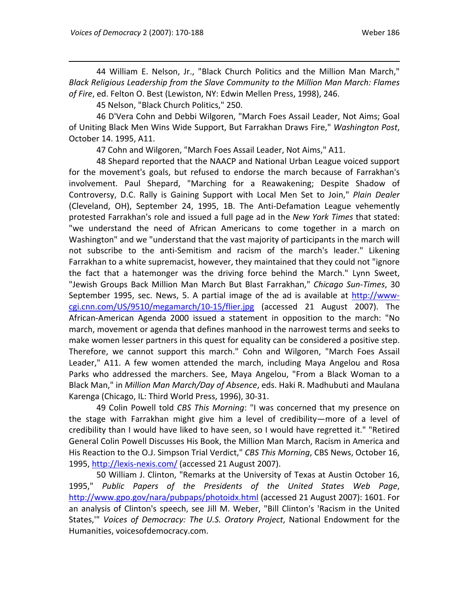44 William E. Nelson, Jr., "Black Church Politics and the Million Man March," *Black Religious Leadership from the Slave Community to the Million Man March: Flames of Fire*, ed. Felton O. Best (Lewiston, NY: Edwin Mellen Press, 1998), 246.

45 Nelson, "Black Church Politics," 250.

46 D'Vera Cohn and Debbi Wilgoren, "March Foes Assail Leader, Not Aims; Goal of Uniting Black Men Wins Wide Support, But Farrakhan Draws Fire," *Washington Post*, October 14. 1995, A11.

47 Cohn and Wilgoren, "March Foes Assail Leader, Not Aims," A11.

48 Shepard reported that the NAACP and National Urban League voiced support for the movement's goals, but refused to endorse the march because of Farrakhan's involvement. Paul Shepard, "Marching for a Reawakening; Despite Shadow of Controversy, D.C. Rally is Gaining Support with Local Men Set to Join," *Plain Dealer* (Cleveland, OH), September 24, 1995, 1B. The Anti‐Defamation League vehemently protested Farrakhan's role and issued a full page ad in the *New York Times* that stated: "we understand the need of African Americans to come together in a march on Washington" and we "understand that the vast majority of participants in the march will not subscribe to the anti‐Semitism and racism of the march's leader." Likening Farrakhan to a white supremacist, however, they maintained that they could not "ignore the fact that a hatemonger was the driving force behind the March." Lynn Sweet, "Jewish Groups Back Million Man March But Blast Farrakhan," *Chicago Sun‐Times*, 30 September 1995, sec. News, 5. A partial image of the ad is available at http://wwwcgi.cnn.com/US/9510/megamarch/10-15/flier.jpg (accessed 21 August 2007). The African‐American Agenda 2000 issued a statement in opposition to the march: "No march, movement or agenda that defines manhood in the narrowest terms and seeks to make women lesser partners in this quest for equality can be considered a positive step. Therefore, we cannot support this march." Cohn and Wilgoren, "March Foes Assail Leader," A11. A few women attended the march, including Maya Angelou and Rosa Parks who addressed the marchers. See, Maya Angelou, "From a Black Woman to a Black Man," in *Million Man March/Day of Absence*, eds. Haki R. Madhubuti and Maulana Karenga (Chicago, IL: Third World Press, 1996), 30‐31.

49 Colin Powell told *CBS This Morning*: "I was concerned that my presence on the stage with Farrakhan might give him a level of credibility—more of a level of credibility than I would have liked to have seen, so I would have regretted it." "Retired General Colin Powell Discusses His Book, the Million Man March, Racism in America and His Reaction to the O.J. Simpson Trial Verdict," *CBS This Morning*, CBS News, October 16, 1995, http://lexis‐nexis.com/ (accessed 21 August 2007).

50 William J. Clinton, "Remarks at the University of Texas at Austin October 16, 1995," *Public Papers of the Presidents of the United States Web Page*, http://www.gpo.gov/nara/pubpaps/photoidx.html (accessed 21 August 2007): 1601. For an analysis of Clinton's speech, see Jill M. Weber, "Bill Clinton's 'Racism in the United States,'" *Voices of Democracy: The U.S. Oratory Project*, National Endowment for the Humanities, voicesofdemocracy.com.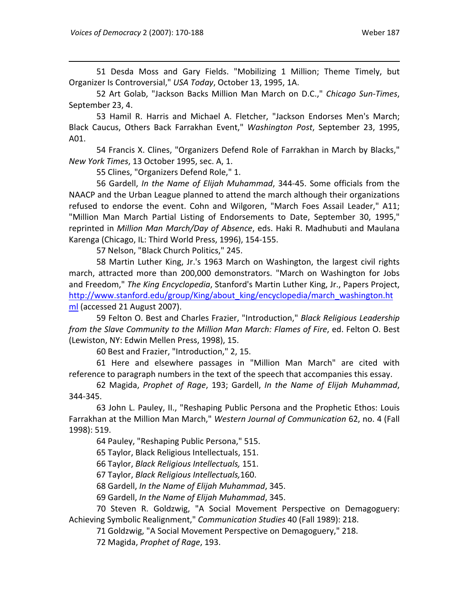51 Desda Moss and Gary Fields. "Mobilizing 1 Million; Theme Timely, but Organizer Is Controversial," *USA Today*, October 13, 1995, 1A.

52 Art Golab, "Jackson Backs Million Man March on D.C.," *Chicago Sun‐Times*, September 23, 4.

53 Hamil R. Harris and Michael A. Fletcher, "Jackson Endorses Men's March; Black Caucus, Others Back Farrakhan Event," *Washington Post*, September 23, 1995, A01.

54 Francis X. Clines, "Organizers Defend Role of Farrakhan in March by Blacks," *New York Times*, 13 October 1995, sec. A, 1.

55 Clines, "Organizers Defend Role," 1.

56 Gardell, *In the Name of Elijah Muhammad*, 344‐45. Some officials from the NAACP and the Urban League planned to attend the march although their organizations refused to endorse the event. Cohn and Wilgoren, "March Foes Assail Leader," A11; "Million Man March Partial Listing of Endorsements to Date, September 30, 1995," reprinted in *Million Man March/Day of Absence*, eds. Haki R. Madhubuti and Maulana Karenga (Chicago, IL: Third World Press, 1996), 154‐155.

57 Nelson, "Black Church Politics," 245.

58 Martin Luther King, Jr.'s 1963 March on Washington, the largest civil rights march, attracted more than 200,000 demonstrators. "March on Washington for Jobs and Freedom," *The King Encyclopedia*, Stanford's Martin Luther King, Jr., Papers Project, http://www.stanford.edu/group/King/about\_king/encyclopedia/march\_washington.ht ml (accessed 21 August 2007).

59 Felton O. Best and Charles Frazier, "Introduction," *Black Religious Leadership from the Slave Community to the Million Man March: Flames of Fire*, ed. Felton O. Best (Lewiston, NY: Edwin Mellen Press, 1998), 15.

60 Best and Frazier, "Introduction," 2, 15.

61 Here and elsewhere passages in "Million Man March" are cited with reference to paragraph numbers in the text of the speech that accompanies this essay.

62 Magida, *Prophet of Rage*, 193; Gardell, *In the Name of Elijah Muhammad*, 344‐345.

63 John L. Pauley, II., "Reshaping Public Persona and the Prophetic Ethos: Louis Farrakhan at the Million Man March," *Western Journal of Communication* 62, no. 4 (Fall 1998): 519.

64 Pauley, "Reshaping Public Persona," 515.

65 Taylor, Black Religious Intellectuals, 151.

66 Taylor, *Black Religious Intellectuals,* 151.

67 Taylor, *Black Religious Intellectuals,*160.

68 Gardell, *In the Name of Elijah Muhammad*, 345.

69 Gardell, *In the Name of Elijah Muhammad*, 345.

70 Steven R. Goldzwig, "A Social Movement Perspective on Demagoguery: Achieving Symbolic Realignment," *Communication Studies* 40 (Fall 1989): 218.

71 Goldzwig, "A Social Movement Perspective on Demagoguery," 218.

72 Magida, *Prophet of Rage*, 193.